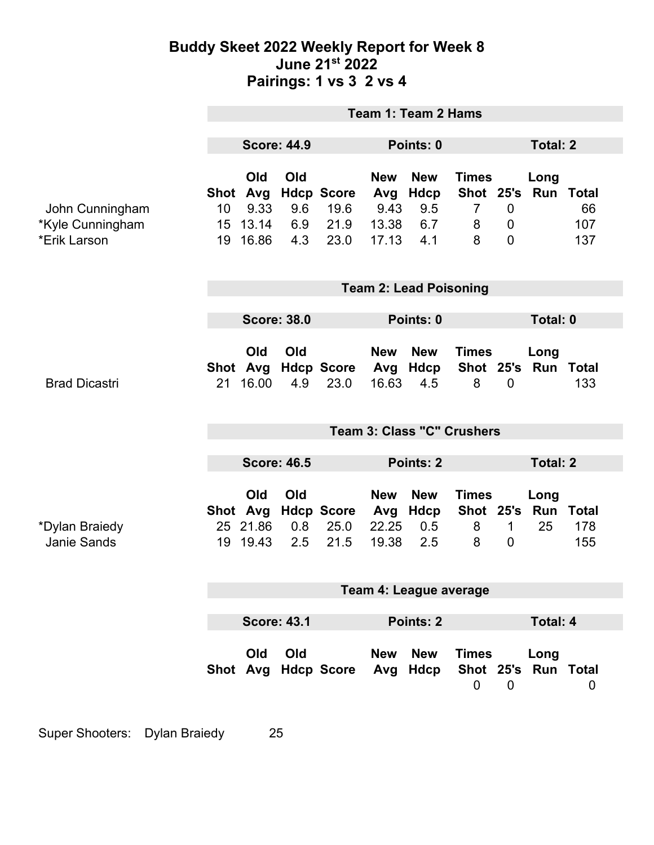## **Buddy Skeet 2022 Weekly Report for Week 8 June 21st 2022 Pairings: 1 vs 3 2 vs 4**

|                                                     | <b>Team 1: Team 2 Hams</b>              |                                         |                          |                                           |                                             |                                         |                                                       |                                    |                             |                            |
|-----------------------------------------------------|-----------------------------------------|-----------------------------------------|--------------------------|-------------------------------------------|---------------------------------------------|-----------------------------------------|-------------------------------------------------------|------------------------------------|-----------------------------|----------------------------|
|                                                     | <b>Score: 44.9</b>                      |                                         |                          |                                           | Points: 0                                   |                                         |                                                       | <b>Total: 2</b>                    |                             |                            |
| John Cunningham<br>*Kyle Cunningham<br>*Erik Larson | Shot Avg<br>10 <sup>°</sup><br>15<br>19 | Old<br>9.33<br>13.14<br>16.86           | Old<br>9.6<br>6.9<br>4.3 | <b>Hdcp Score</b><br>19.6<br>21.9<br>23.0 | <b>New</b><br>Avg<br>9.43<br>13.38<br>17.13 | <b>New</b><br>Hdcp<br>9.5<br>6.7<br>4.1 | <b>Times</b><br>Shot 25's<br>$\overline{7}$<br>8<br>8 | $\mathbf 0$<br>0<br>$\overline{0}$ | Long<br><b>Run Total</b>    | 66<br>107<br>137           |
|                                                     | <b>Team 2: Lead Poisoning</b>           |                                         |                          |                                           |                                             |                                         |                                                       |                                    |                             |                            |
|                                                     | <b>Score: 38.0</b>                      |                                         |                          | Points: 0                                 |                                             |                                         | Total: 0                                              |                                    |                             |                            |
| <b>Brad Dicastri</b>                                | 21                                      | Old<br>16.00                            | Old<br>4.9               | Shot Avg Hdcp Score Avg<br>23.0           | <b>New</b><br>16.63                         | <b>New</b><br>Hdcp<br>4.5               | <b>Times</b><br>8                                     | $\mathbf 0$                        | Long<br>Shot 25's Run Total | 133                        |
|                                                     | <b>Team 3: Class "C" Crushers</b>       |                                         |                          |                                           |                                             |                                         |                                                       |                                    |                             |                            |
|                                                     | <b>Score: 46.5</b>                      |                                         |                          |                                           | Points: 2                                   |                                         |                                                       | <b>Total: 2</b>                    |                             |                            |
| *Dylan Braiedy<br>Janie Sands                       |                                         | Old<br>Shot Avg<br>25 21.86<br>19 19.43 | Old<br>0.8<br>2.5        | <b>Hdcp Score</b><br>25.0<br>21.5         | <b>New</b><br>Avg<br>22.25<br>19.38         | <b>New</b><br><b>Hdcp</b><br>0.5<br>2.5 | <b>Times</b><br>Shot 25's<br>8<br>8                   | $\mathbf 1$<br>$\overline{0}$      | Long<br>Run<br>25           | <b>Total</b><br>178<br>155 |
|                                                     | Team 4: League average                  |                                         |                          |                                           |                                             |                                         |                                                       |                                    |                             |                            |
|                                                     |                                         |                                         |                          |                                           |                                             |                                         |                                                       |                                    |                             |                            |
|                                                     | <b>Score: 43.1</b>                      |                                         |                          |                                           | Points: 2                                   |                                         |                                                       | <b>Total: 4</b>                    |                             |                            |
|                                                     |                                         | Old                                     | Old                      | Shot Avg Hdcp Score Avg Hdcp              | <b>New</b>                                  | <b>New</b>                              | <b>Times</b><br>$\mathbf 0$                           | $\mathbf 0$                        | Long<br>Shot 25's Run Total | $\overline{0}$             |

Super Shooters: Dylan Braiedy 25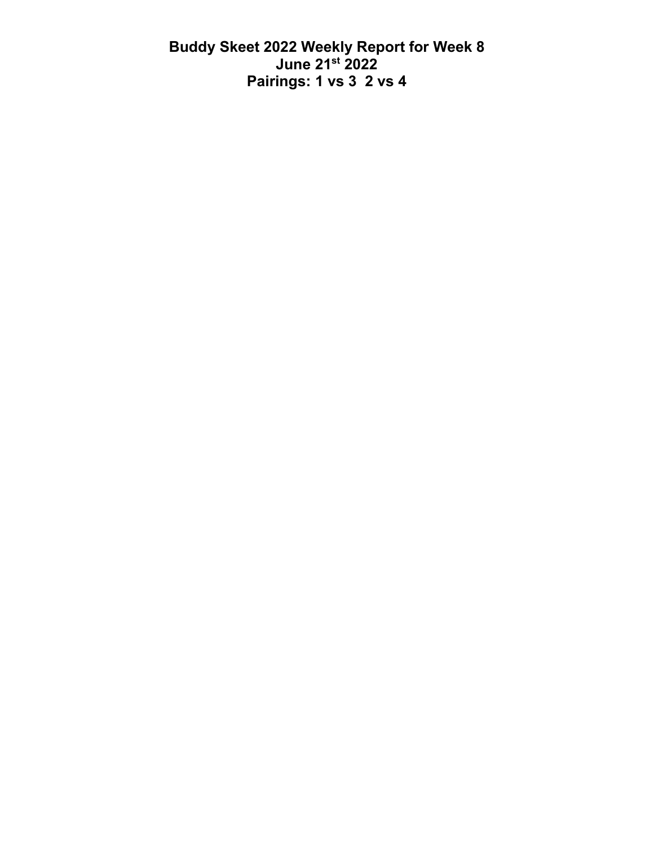**Buddy Skeet 2022 Weekly Report for Week 8 June 21st 2022 Pairings: 1 vs 3 2 vs 4**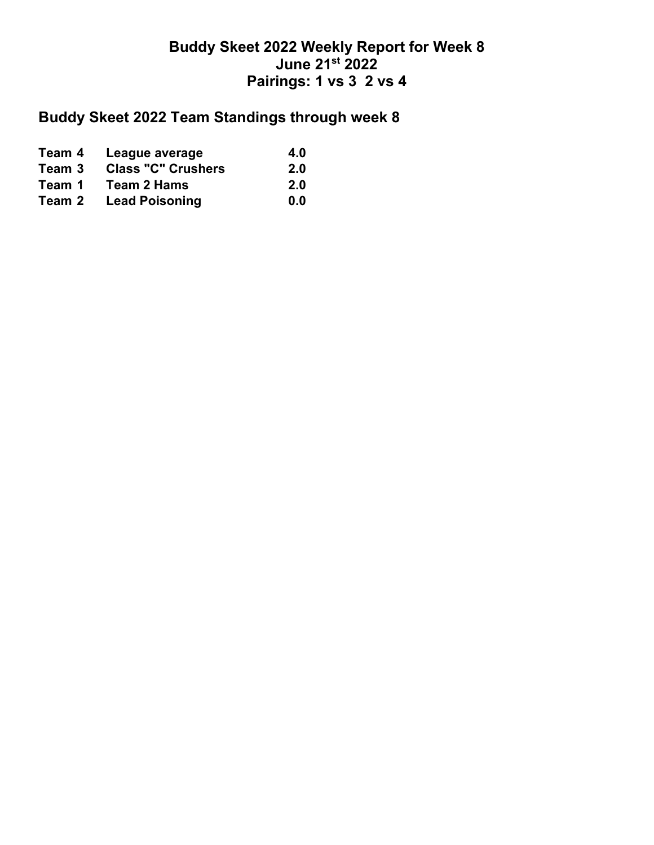## **Buddy Skeet 2022 Weekly Report for Week 8 June 21st 2022 Pairings: 1 vs 3 2 vs 4**

## **Buddy Skeet 2022 Team Standings through week 8**

| Team 4 | League average            | 4.0        |
|--------|---------------------------|------------|
| Team 3 | <b>Class "C" Crushers</b> | <b>2.0</b> |
| Team 1 | <b>Team 2 Hams</b>        | 2.0        |
| Team 2 | <b>Lead Poisoning</b>     | 0.0        |